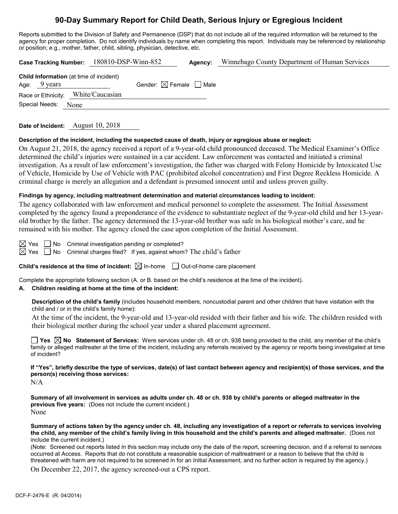# **90-Day Summary Report for Child Death, Serious Injury or Egregious Incident**

Reports submitted to the Division of Safety and Permanence (DSP) that do not include all of the required information will be returned to the agency for proper completion. Do not identify individuals by name when completing this report. Individuals may be referenced by relationship or position; e.g., mother, father, child, sibling, physician, detective, etc.

|                                                                          | Case Tracking Number: 180810-DSP-Winn-852 | Agency: | Winnebago County Department of Human Services |
|--------------------------------------------------------------------------|-------------------------------------------|---------|-----------------------------------------------|
| <b>Child Information</b> (at time of incident)<br>Age: $9 \text{ years}$ | Gender: $\boxtimes$ Female $\Box$ Male    |         |                                               |
| Race or Ethnicity: White/Caucasian                                       |                                           |         |                                               |
| Special Needs:<br>None                                                   |                                           |         |                                               |

**Date of Incident:** August 10, 2018

#### **Description of the incident, including the suspected cause of death, injury or egregious abuse or neglect:**

On August 21, 2018, the agency received a report of a 9-year-old child pronounced deceased. The Medical Examiner's Office determined the child's injuries were sustained in a car accident. Law enforcement was contacted and initiated a criminal investigation. As a result of law enforcement's investigation, the father was charged with Felony Homicide by Intoxicated Use of Vehicle, Homicide by Use of Vehicle with PAC (prohibited alcohol concentration) and First Degree Reckless Homicide. A criminal charge is merely an allegation and a defendant is presumed innocent until and unless proven guilty.

### **Findings by agency, including maltreatment determination and material circumstances leading to incident:**

The agency collaborated with law enforcement and medical personnel to complete the assessment. The Initial Assessment completed by the agency found a preponderance of the evidence to substantiate neglect of the 9-year-old child and her 13-yearold brother by the father. The agency determined the 13-year-old brother was safe in his biological mother's care, and he remained with his mother. The agency closed the case upon completion of the Initial Assessment.

 $\boxtimes$  Yes  $\Box$  No Criminal investigation pending or completed?

 $\boxtimes$  Yes  $\Box$  No Criminal charges filed? If yes, against whom? The child's father

**Child's residence at the time of incident:**  $\boxtimes$  In-home  $\Box$  Out-of-home care placement

Complete the appropriate following section (A. or B. based on the child's residence at the time of the incident).

### **A. Children residing at home at the time of the incident:**

**Description of the child's family** (includes household members, noncustodial parent and other children that have visitation with the child and / or in the child's family home):

At the time of the incident, the 9-year-old and 13-year-old resided with their father and his wife. The children resided with their biological mother during the school year under a shared placement agreement.

**Yes**  $\boxtimes$  **No** Statement of Services: Were services under ch. 48 or ch. 938 being provided to the child, any member of the child's family or alleged maltreater at the time of the incident, including any referrals received by the agency or reports being investigated at time of incident?

**If "Yes", briefly describe the type of services, date(s) of last contact between agency and recipient(s) of those services, and the person(s) receiving those services:**

 $N/A$ 

**Summary of all involvement in services as adults under ch. 48 or ch. 938 by child's parents or alleged maltreater in the previous five years:** (Does not include the current incident.) None

**Summary of actions taken by the agency under ch. 48, including any investigation of a report or referrals to services involving the child, any member of the child's family living in this household and the child's parents and alleged maltreater.** (Does not include the current incident.)

(Note: Screened out reports listed in this section may include only the date of the report, screening decision, and if a referral to services occurred at Access. Reports that do not constitute a reasonable suspicion of maltreatment or a reason to believe that the child is threatened with harm are not required to be screened in for an Initial Assessment, and no further action is required by the agency.)

On December 22, 2017, the agency screened-out a CPS report.